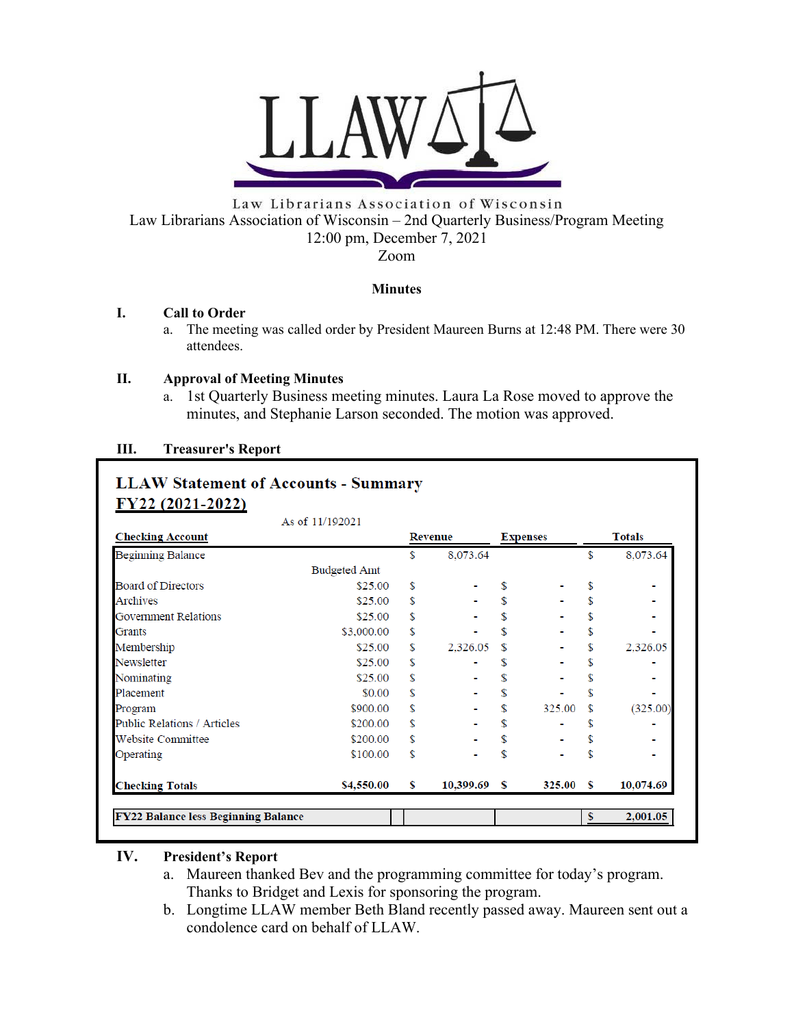

Law Librarians Association of Wisconsin Law Librarians Association of Wisconsin – 2nd Quarterly Business/Program Meeting 12:00 pm, December 7, 2021 Zoom

#### **Minutes**

#### **I. Call to Order**

a. The meeting was called order by President Maureen Burns at 12:48 PM. There were 30 attendees.

#### **II. Approval of Meeting Minutes**

a. 1st Quarterly Business meeting minutes. Laura La Rose moved to approve the minutes, and Stephanie Larson seconded. The motion was approved.

# **III. Treasurer's Report**

# **LLAW Statement of Accounts - Summary** FY22 (2021-2022)

|                                            | As of 11/192021     |         |                |                 |        |               |           |
|--------------------------------------------|---------------------|---------|----------------|-----------------|--------|---------------|-----------|
| <b>Checking Account</b>                    |                     | Revenue |                | <b>Expenses</b> |        | <b>Totals</b> |           |
| Beginning Balance                          |                     | \$      | 8,073.64       |                 |        | \$            | 8,073.64  |
|                                            | <b>Budgeted Amt</b> |         |                |                 |        |               |           |
| <b>Board of Directors</b>                  | \$25.00             | \$      |                | \$              |        | \$            |           |
| Archives                                   | \$25.00             | \$      |                |                 |        | \$            |           |
| Government Relations                       | \$25.00             | \$      |                | \$              |        | \$            | ۰         |
| Grants                                     | \$3,000.00          | \$      |                | \$              |        | \$            |           |
| Membership                                 | \$25.00             | \$      | 2,326.05       |                 |        | \$            | 2,326.05  |
| Newsletter                                 | \$25.00             | \$      |                |                 |        | \$            | ۰         |
| Nominating                                 | \$25.00             | \$      |                | \$              |        | \$            |           |
| Placement                                  | \$0.00              | \$      |                | \$              |        | \$            |           |
| Program                                    | \$900.00            | \$      |                | \$              | 325.00 | \$            | (325.00)  |
| Public Relations / Articles                | \$200.00            | \$      |                | \$              |        | \$            |           |
| <b>Website Committee</b>                   | \$200.00            | \$      |                | \$              |        | \$            |           |
| Operating                                  | \$100.00            | \$      |                | \$              |        | \$            |           |
| <b>Checking Totals</b>                     | \$4,550.00          | s       | $10,399.69$ \$ |                 | 325.00 | S             | 10,074.69 |
|                                            |                     |         |                |                 |        | S             |           |
| <b>FY22 Balance less Beginning Balance</b> |                     |         |                |                 |        |               | 2,001.05  |

# **IV. President's Report**

- a. Maureen thanked Bev and the programming committee for today's program. Thanks to Bridget and Lexis for sponsoring the program.
- b. Longtime LLAW member Beth Bland recently passed away. Maureen sent out a condolence card on behalf of LLAW.